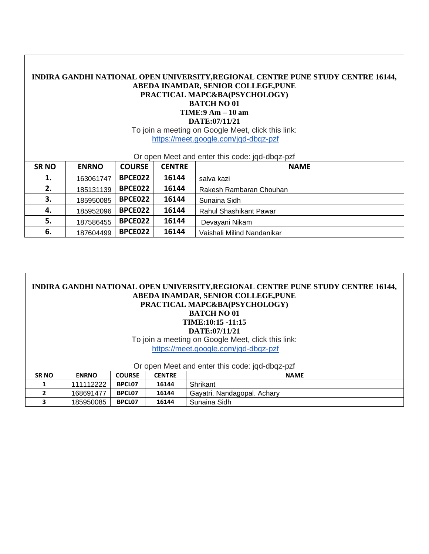| INDIRA GANDHI NATIONAL OPEN UNIVERSITY, REGIONAL CENTRE PUNE STUDY CENTRE 16144,<br>ABEDA INAMDAR, SENIOR COLLEGE, PUNE<br>PRACTICAL MAPC&BA(PSYCHOLOGY)<br><b>BATCH NO 01</b><br>$TIME: 9 Am - 10 am$<br>DATE:07/11/21<br>To join a meeting on Google Meet, click this link:<br>https://meet.google.com/jqd-dbqz-pzf<br>Or open Meet and enter this code: jqd-dbqz-pzf |              |               |               |                            |  |  |  |
|-------------------------------------------------------------------------------------------------------------------------------------------------------------------------------------------------------------------------------------------------------------------------------------------------------------------------------------------------------------------------|--------------|---------------|---------------|----------------------------|--|--|--|
| <b>SRNO</b>                                                                                                                                                                                                                                                                                                                                                             | <b>ENRNO</b> | <b>COURSE</b> | <b>CENTRE</b> | <b>NAME</b>                |  |  |  |
| 1.                                                                                                                                                                                                                                                                                                                                                                      | 163061747    | BPCE022       | 16144         | salva kazi                 |  |  |  |
| 2.                                                                                                                                                                                                                                                                                                                                                                      | 185131139    | BPCE022       | 16144         | Rakesh Rambaran Chouhan    |  |  |  |
| 3.                                                                                                                                                                                                                                                                                                                                                                      | 185950085    | BPCE022       | 16144         | Sunaina Sidh               |  |  |  |
| 4.                                                                                                                                                                                                                                                                                                                                                                      | 185952096    | BPCE022       | 16144         | Rahul Shashikant Pawar     |  |  |  |
| 5.                                                                                                                                                                                                                                                                                                                                                                      | 187586455    | BPCE022       | 16144         | Devayani Nikam             |  |  |  |
| 6.                                                                                                                                                                                                                                                                                                                                                                      | 187604499    | BPCE022       | 16144         | Vaishali Milind Nandanikar |  |  |  |

|              |              |               |               | INDIRA GANDHI NATIONAL OPEN UNIVERSITY, REGIONAL CENTRE PUNE STUDY CENTRE 16144,<br>ABEDA INAMDAR, SENIOR COLLEGE, PUNE<br>PRACTICAL MAPC&BA(PSYCHOLOGY)<br><b>BATCH NO 01</b><br>TIME:10:15 -11:15<br>DATE:07/11/21<br>To join a meeting on Google Meet, click this link:<br>https://meet.google.com/jqd-dbqz-pzf |
|--------------|--------------|---------------|---------------|--------------------------------------------------------------------------------------------------------------------------------------------------------------------------------------------------------------------------------------------------------------------------------------------------------------------|
|              |              |               |               | Or open Meet and enter this code: jgd-dbgz-pzf                                                                                                                                                                                                                                                                     |
| <b>SRNO</b>  | <b>ENRNO</b> | <b>COURSE</b> | <b>CENTRE</b> | <b>NAME</b>                                                                                                                                                                                                                                                                                                        |
|              | 111112222    | BPCL07        | 16144         | Shrikant                                                                                                                                                                                                                                                                                                           |
| $\mathbf{2}$ | 168691477    | <b>BPCL07</b> | 16144         | Gayatri. Nandagopal. Achary                                                                                                                                                                                                                                                                                        |
| 3            | 185950085    | <b>BPCL07</b> | 16144         | Sunaina Sidh                                                                                                                                                                                                                                                                                                       |

Г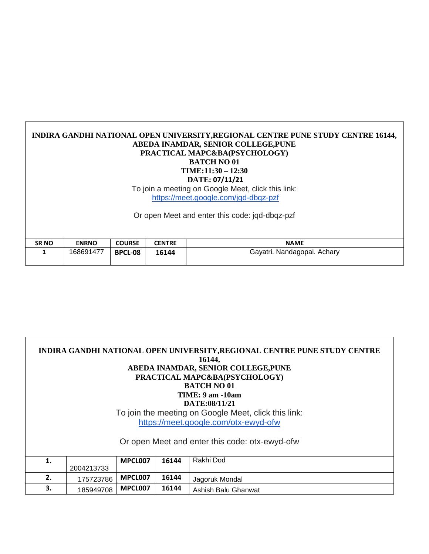## **INDIRA GANDHI NATIONAL OPEN UNIVERSITY,REGIONAL CENTRE PUNE STUDY CENTRE 16144, ABEDA INAMDAR, SENIOR COLLEGE,PUNE PRACTICAL MAPC&BA(PSYCHOLOGY) BATCH NO 01 TIME:11:30 – 12:30 DATE: 07/11/21** To join a meeting on Google Meet, click this link: <https://meet.google.com/jqd-dbqz-pzf>

Or open Meet and enter this code: jqd-dbqz-pzf

| <b>SRNO</b> | <b>ENRNO</b> | <b>COURSE</b>  | <b>CENTRE</b> | <b>NAME</b>                 |
|-------------|--------------|----------------|---------------|-----------------------------|
|             | 168691477    | <b>BPCL-08</b> | 16144         | Gayatri. Nandagopal. Achary |

|    |            |         |       | INDIRA GANDHI NATIONAL OPEN UNIVERSITY, REGIONAL CENTRE PUNE STUDY CENTRE<br>16144,<br>ABEDA INAMDAR, SENIOR COLLEGE, PUNE<br>PRACTICAL MAPC&BA(PSYCHOLOGY)<br><b>BATCH NO 01</b><br><b>TIME: 9 am -10am</b><br>DATE:08/11/21<br>To join the meeting on Google Meet, click this link:<br>https://meet.google.com/otx-ewyd-ofw<br>Or open Meet and enter this code: otx-ewyd-ofw |
|----|------------|---------|-------|---------------------------------------------------------------------------------------------------------------------------------------------------------------------------------------------------------------------------------------------------------------------------------------------------------------------------------------------------------------------------------|
| 1. | 2004213733 | MPCL007 | 16144 | Rakhi Dod                                                                                                                                                                                                                                                                                                                                                                       |
| 2. | 175723786  | MPCL007 | 16144 | Jagoruk Mondal                                                                                                                                                                                                                                                                                                                                                                  |
| 3. | 185949708  | MPCL007 | 16144 | Ashish Balu Ghanwat                                                                                                                                                                                                                                                                                                                                                             |

Г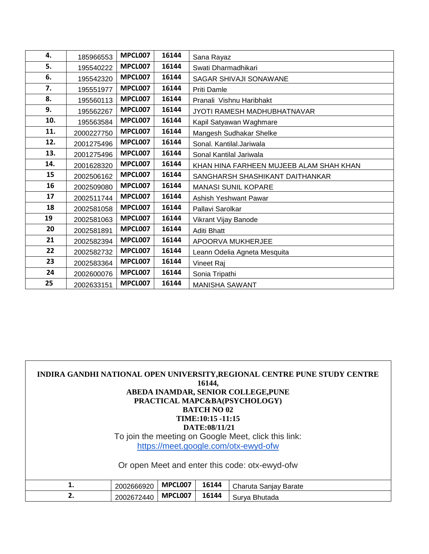| 4.  | 185966553  | MPCL007 | 16144 | Sana Rayaz                              |
|-----|------------|---------|-------|-----------------------------------------|
| 5.  | 195540222  | MPCL007 | 16144 | Swati Dharmadhikari                     |
| 6.  | 195542320  | MPCL007 | 16144 | SAGAR SHIVAJI SONAWANE                  |
| 7.  | 195551977  | MPCL007 | 16144 | Priti Damle                             |
| 8.  | 195560113  | MPCL007 | 16144 | Pranali Vishnu Haribhakt                |
| 9.  | 195562267  | MPCL007 | 16144 | JYOTI RAMESH MADHUBHATNAVAR             |
| 10. | 195563584  | MPCL007 | 16144 | Kapil Satyawan Waghmare                 |
| 11. | 2000227750 | MPCL007 | 16144 | Mangesh Sudhakar Shelke                 |
| 12. | 2001275496 | MPCL007 | 16144 | Sonal. Kantilal.Jariwala                |
| 13. | 2001275496 | MPCL007 | 16144 | Sonal Kantilal Jariwala                 |
| 14. | 2001628320 | MPCL007 | 16144 | KHAN HINA FARHEEN MUJEEB ALAM SHAH KHAN |
| 15  | 2002506162 | MPCL007 | 16144 | SANGHARSH SHASHIKANT DAITHANKAR         |
| 16  | 2002509080 | MPCL007 | 16144 | <b>MANASI SUNIL KOPARE</b>              |
| 17  | 2002511744 | MPCL007 | 16144 | Ashish Yeshwant Pawar                   |
| 18  | 2002581058 | MPCL007 | 16144 | Pallavi Sarolkar                        |
| 19  | 2002581063 | MPCL007 | 16144 | Vikrant Vijay Banode                    |
| 20  | 2002581891 | MPCL007 | 16144 | Aditi Bhatt                             |
| 21  | 2002582394 | MPCL007 | 16144 | APOORVA MUKHERJEE                       |
| 22  | 2002582732 | MPCL007 | 16144 | Leann Odelia Agneta Mesquita            |
| 23  | 2002583364 | MPCL007 | 16144 | Vineet Raj                              |
| 24  | 2002600076 | MPCL007 | 16144 | Sonia Tripathi                          |
| 25  | 2002633151 | MPCL007 | 16144 | <b>MANISHA SAWANT</b>                   |

|    |            |         | 16144,<br><b>BATCH NO 02</b><br>TIME:10:15 -11:15<br>DATE:08/11/21 | INDIRA GANDHI NATIONAL OPEN UNIVERSITY, REGIONAL CENTRE PUNE STUDY CENTRE<br>ABEDA INAMDAR, SENIOR COLLEGE, PUNE<br>PRACTICAL MAPC&BA(PSYCHOLOGY)<br>To join the meeting on Google Meet, click this link:<br>https://meet.google.com/otx-ewyd-ofw<br>Or open Meet and enter this code: otx-ewyd-ofw |
|----|------------|---------|--------------------------------------------------------------------|-----------------------------------------------------------------------------------------------------------------------------------------------------------------------------------------------------------------------------------------------------------------------------------------------------|
| 1. | 2002666920 | MPCL007 | 16144                                                              | Charuta Sanjay Barate                                                                                                                                                                                                                                                                               |
| 2. | 2002672440 | MPCL007 | 16144                                                              | Surya Bhutada                                                                                                                                                                                                                                                                                       |

Г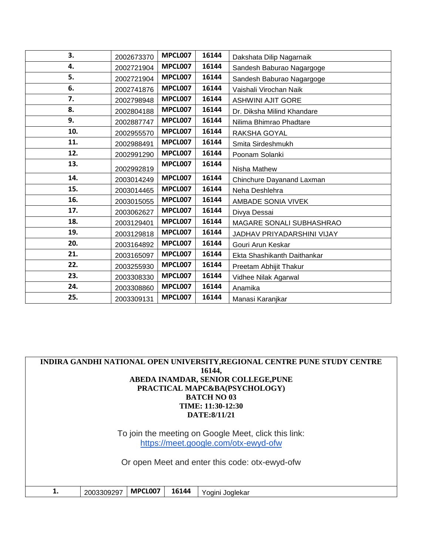| 3.  | 2002673370 | MPCL007 | 16144 | Dakshata Dilip Nagarnaik    |
|-----|------------|---------|-------|-----------------------------|
| 4.  | 2002721904 | MPCL007 | 16144 | Sandesh Baburao Nagargoge   |
| 5.  | 2002721904 | MPCL007 | 16144 | Sandesh Baburao Nagargoge   |
| 6.  | 2002741876 | MPCL007 | 16144 | Vaishali Virochan Naik      |
| 7.  | 2002798948 | MPCL007 | 16144 | <b>ASHWINI AJIT GORE</b>    |
| 8.  | 2002804188 | MPCL007 | 16144 | Dr. Diksha Milind Khandare  |
| 9.  | 2002887747 | MPCL007 | 16144 | Nilima Bhimrao Phadtare     |
| 10. | 2002955570 | MPCL007 | 16144 | RAKSHA GOYAL                |
| 11. | 2002988491 | MPCL007 | 16144 | Smita Sirdeshmukh           |
| 12. | 2002991290 | MPCL007 | 16144 | Poonam Solanki              |
| 13. | 2002992819 | MPCL007 | 16144 | Nisha Mathew                |
| 14. | 2003014249 | MPCL007 | 16144 | Chinchure Dayanand Laxman   |
| 15. | 2003014465 | MPCL007 | 16144 | Neha Deshlehra              |
| 16. | 2003015055 | MPCL007 | 16144 | AMBADE SONIA VIVEK          |
| 17. | 2003062627 | MPCL007 | 16144 | Divya Dessai                |
| 18. | 2003129401 | MPCL007 | 16144 | MAGARE SONALI SUBHASHRAO    |
| 19. | 2003129818 | MPCL007 | 16144 | JADHAV PRIYADARSHINI VIJAY  |
| 20. | 2003164892 | MPCL007 | 16144 | Gouri Arun Keskar           |
| 21. | 2003165097 | MPCL007 | 16144 | Ekta Shashikanth Daithankar |
| 22. | 2003255930 | MPCL007 | 16144 | Preetam Abhijit Thakur      |
| 23. | 2003308330 | MPCL007 | 16144 | Vidhee Nilak Agarwal        |
| 24. | 2003308860 | MPCL007 | 16144 | Anamika                     |
| 25. | 2003309131 | MPCL007 | 16144 | Manasi Karanjkar            |

|                                                | INDIRA GANDHI NATIONAL OPEN UNIVERSITY, REGIONAL CENTRE PUNE STUDY CENTRE |         |       |                                                      |  |  |  |  |
|------------------------------------------------|---------------------------------------------------------------------------|---------|-------|------------------------------------------------------|--|--|--|--|
|                                                | 16144,                                                                    |         |       |                                                      |  |  |  |  |
|                                                | ABEDA INAMDAR, SENIOR COLLEGE, PUNE                                       |         |       |                                                      |  |  |  |  |
|                                                |                                                                           |         |       | PRACTICAL MAPC&BA(PSYCHOLOGY)                        |  |  |  |  |
|                                                |                                                                           |         |       | <b>BATCH NO 03</b>                                   |  |  |  |  |
|                                                |                                                                           |         |       | TIME: 11:30-12:30                                    |  |  |  |  |
|                                                |                                                                           |         |       | DATE:8/11/21                                         |  |  |  |  |
|                                                |                                                                           |         |       |                                                      |  |  |  |  |
|                                                |                                                                           |         |       | To join the meeting on Google Meet, click this link: |  |  |  |  |
|                                                |                                                                           |         |       | https://meet.google.com/otx-ewyd-ofw                 |  |  |  |  |
|                                                |                                                                           |         |       |                                                      |  |  |  |  |
| Or open Meet and enter this code: otx-ewyd-ofw |                                                                           |         |       |                                                      |  |  |  |  |
|                                                |                                                                           |         |       |                                                      |  |  |  |  |
|                                                |                                                                           |         |       |                                                      |  |  |  |  |
|                                                |                                                                           |         |       |                                                      |  |  |  |  |
|                                                | 2003309297                                                                | MPCL007 | 16144 | Yogini Joglekar                                      |  |  |  |  |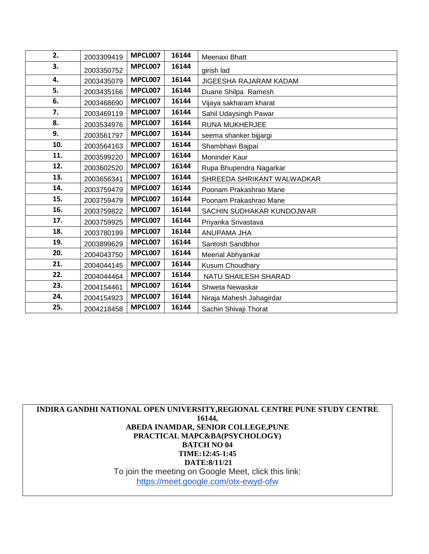| 2.  | 2003309419 | MPCL007 | 16144 | Meenaxi Bhatt              |
|-----|------------|---------|-------|----------------------------|
| 3.  | 2003350752 | MPCL007 | 16144 | girish lad                 |
| 4.  | 2003435079 | MPCL007 | 16144 | JIGEESHA RAJARAM KADAM     |
| 5.  | 2003435166 | MPCL007 | 16144 | Duane Shilpa Ramesh        |
| 6.  | 2003468690 | MPCL007 | 16144 | Vijaya sakharam kharat     |
| 7.  | 2003469119 | MPCL007 | 16144 | Sahil Udaysingh Pawar      |
| 8.  | 2003534976 | MPCL007 | 16144 | RUNA MUKHERJEE             |
| 9.  | 2003561797 | MPCL007 | 16144 | seema shanker bijjargi     |
| 10. | 2003564163 | MPCL007 | 16144 | Shambhavi Bajpai           |
| 11. | 2003599220 | MPCL007 | 16144 | Moninder Kaur              |
| 12. | 2003602520 | MPCL007 | 16144 | Rupa Bhupendra Nagarkar    |
| 13. | 2003656341 | MPCL007 | 16144 | SHREEDA SHRIKANT WALWADKAR |
| 14. | 2003759479 | MPCL007 | 16144 | Poonam Prakashrao Mane     |
| 15. | 2003759479 | MPCL007 | 16144 | Poonam Prakashrao Mane     |
| 16. | 2003759822 | MPCL007 | 16144 | SACHIN SUDHAKAR KUNDOJWAR  |
| 17. | 2003759925 | MPCL007 | 16144 | Priyanka Srivastava        |
| 18. | 2003780199 | MPCL007 | 16144 | ANUPAMA JHA                |
| 19. | 2003899629 | MPCL007 | 16144 | Santosh Sandbhor           |
| 20. | 2004043750 | MPCL007 | 16144 | Meenal Abhyankar           |
| 21. | 2004044145 | MPCL007 | 16144 | Kusum Choudhary            |
| 22. | 2004044464 | MPCL007 | 16144 | NATU SHAILESH SHARAD       |
| 23. | 2004154461 | MPCL007 | 16144 | Shweta Newaskar            |
| 24. | 2004154923 | MPCL007 | 16144 | Niraja Mahesh Jahagirdar   |
| 25. | 2004218458 | MPCL007 | 16144 | Sachin Shivaji Thorat      |

**INDIRA GANDHI NATIONAL OPEN UNIVERSITY,REGIONAL CENTRE PUNE STUDY CENTRE 16144, ABEDA INAMDAR, SENIOR COLLEGE,PUNE PRACTICAL MAPC&BA(PSYCHOLOGY) BATCH NO 04 TIME:12:45-1:45 DATE:8/11/21** To join the meeting on Google Meet, click this link: <https://meet.google.com/otx-ewyd-ofw>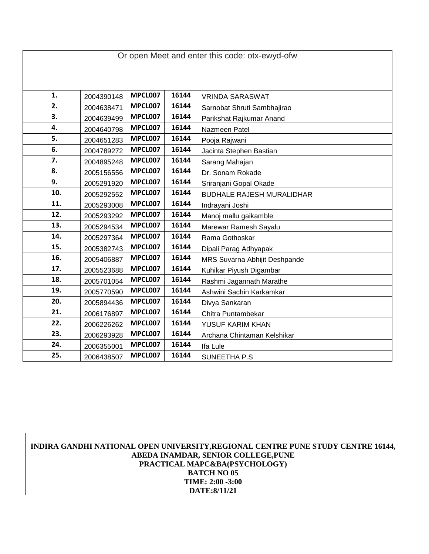| Or open Meet and enter this code: otx-ewyd-ofw |            |                |       |                                  |  |  |  |
|------------------------------------------------|------------|----------------|-------|----------------------------------|--|--|--|
|                                                |            |                |       |                                  |  |  |  |
|                                                |            |                |       |                                  |  |  |  |
| 1.                                             | 2004390148 | MPCL007        | 16144 | <b>VRINDA SARASWAT</b>           |  |  |  |
| 2.                                             | 2004638471 | MPCL007        | 16144 | Sarnobat Shruti Sambhajirao      |  |  |  |
| 3.                                             | 2004639499 | MPCL007        | 16144 | Parikshat Rajkumar Anand         |  |  |  |
| 4.                                             | 2004640798 | MPCL007        | 16144 | Nazmeen Patel                    |  |  |  |
| 5.                                             | 2004651283 | MPCL007        | 16144 | Pooja Rajwani                    |  |  |  |
| 6.                                             | 2004789272 | MPCL007        | 16144 | Jacinta Stephen Bastian          |  |  |  |
| 7.                                             | 2004895248 | MPCL007        | 16144 | Sarang Mahajan                   |  |  |  |
| 8.                                             | 2005156556 | MPCL007        | 16144 | Dr. Sonam Rokade                 |  |  |  |
| 9.                                             | 2005291920 | MPCL007        | 16144 | Sriranjani Gopal Okade           |  |  |  |
| 10.                                            | 2005292552 | <b>MPCL007</b> | 16144 | <b>BUDHALE RAJESH MURALIDHAR</b> |  |  |  |
| 11.                                            | 2005293008 | MPCL007        | 16144 | Indrayani Joshi                  |  |  |  |
| 12.                                            | 2005293292 | MPCL007        | 16144 | Manoj mallu gaikamble            |  |  |  |
| 13.                                            | 2005294534 | MPCL007        | 16144 | Marewar Ramesh Sayalu            |  |  |  |
| 14.                                            | 2005297364 | MPCL007        | 16144 | Rama Gothoskar                   |  |  |  |
| 15.                                            | 2005382743 | MPCL007        | 16144 | Dipali Parag Adhyapak            |  |  |  |
| 16.                                            | 2005406887 | MPCL007        | 16144 | MRS Suvarna Abhijit Deshpande    |  |  |  |
| 17.                                            | 2005523688 | MPCL007        | 16144 | Kuhikar Piyush Digambar          |  |  |  |
| 18.                                            | 2005701054 | MPCL007        | 16144 | Rashmi Jagannath Marathe         |  |  |  |
| 19.                                            | 2005770590 | MPCL007        | 16144 | Ashwini Sachin Karkamkar         |  |  |  |
| 20.                                            | 2005894436 | MPCL007        | 16144 | Divya Sankaran                   |  |  |  |
| 21.                                            | 2006176897 | MPCL007        | 16144 | Chitra Puntambekar               |  |  |  |
| 22.                                            | 2006226262 | MPCL007        | 16144 | YUSUF KARIM KHAN                 |  |  |  |
| 23.                                            | 2006293928 | MPCL007        | 16144 | Archana Chintaman Kelshikar      |  |  |  |
| 24.                                            | 2006355001 | MPCL007        | 16144 | Ifa Lule                         |  |  |  |
| 25.                                            | 2006438507 | MPCL007        | 16144 | SUNEETHA P.S                     |  |  |  |

Г

## **INDIRA GANDHI NATIONAL OPEN UNIVERSITY,REGIONAL CENTRE PUNE STUDY CENTRE 16144, ABEDA INAMDAR, SENIOR COLLEGE,PUNE PRACTICAL MAPC&BA(PSYCHOLOGY) BATCH NO 05 TIME: 2:00 -3:00 DATE:8/11/21**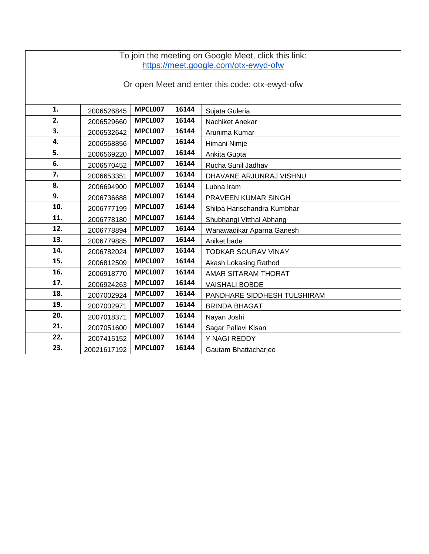| To join the meeting on Google Meet, click this link:<br>https://meet.google.com/otx-ewyd-ofw |                                                |                |       |                             |  |  |  |
|----------------------------------------------------------------------------------------------|------------------------------------------------|----------------|-------|-----------------------------|--|--|--|
|                                                                                              | Or open Meet and enter this code: otx-ewyd-ofw |                |       |                             |  |  |  |
| 1.                                                                                           | 2006526845                                     | MPCL007        | 16144 | Sujata Guleria              |  |  |  |
| 2.                                                                                           | 2006529660                                     | MPCL007        | 16144 | Nachiket Anekar             |  |  |  |
| 3.                                                                                           | 2006532642                                     | MPCL007        | 16144 | Arunima Kumar               |  |  |  |
| 4.                                                                                           | 2006568856                                     | MPCL007        | 16144 | Himani Nimje                |  |  |  |
| 5.                                                                                           | 2006569220                                     | MPCL007        | 16144 | Ankita Gupta                |  |  |  |
| 6.                                                                                           | 2006570452                                     | MPCL007        | 16144 | Rucha Sunil Jadhav          |  |  |  |
| 7.                                                                                           | 2006653351                                     | MPCL007        | 16144 | DHAVANE ARJUNRAJ VISHNU     |  |  |  |
| 8.                                                                                           | 2006694900                                     | <b>MPCL007</b> | 16144 | Lubna Iram                  |  |  |  |
| 9.                                                                                           | 2006736688                                     | MPCL007        | 16144 | PRAVEEN KUMAR SINGH         |  |  |  |
| 10.                                                                                          | 2006777199                                     | MPCL007        | 16144 | Shilpa Harischandra Kumbhar |  |  |  |
| 11.                                                                                          | 2006778180                                     | MPCL007        | 16144 | Shubhangi Vitthal Abhang    |  |  |  |
| 12.                                                                                          | 2006778894                                     | MPCL007        | 16144 | Wanawadikar Aparna Ganesh   |  |  |  |
| 13.                                                                                          | 2006779885                                     | MPCL007        | 16144 | Aniket bade                 |  |  |  |
| 14.                                                                                          | 2006782024                                     | MPCL007        | 16144 | <b>TODKAR SOURAV VINAY</b>  |  |  |  |
| 15.                                                                                          | 2006812509                                     | MPCL007        | 16144 | Akash Lokasing Rathod       |  |  |  |
| 16.                                                                                          | 2006918770                                     | <b>MPCL007</b> | 16144 | AMAR SITARAM THORAT         |  |  |  |
| 17.                                                                                          | 2006924263                                     | <b>MPCL007</b> | 16144 | <b>VAISHALI BOBDE</b>       |  |  |  |
| 18.                                                                                          | 2007002924                                     | MPCL007        | 16144 | PANDHARE SIDDHESH TULSHIRAM |  |  |  |
| 19.                                                                                          | 2007002971                                     | MPCL007        | 16144 | <b>BRINDA BHAGAT</b>        |  |  |  |
| 20.                                                                                          | 2007018371                                     | MPCL007        | 16144 | Nayan Joshi                 |  |  |  |
| 21.                                                                                          | 2007051600                                     | MPCL007        | 16144 | Sagar Pallavi Kisan         |  |  |  |
| 22.                                                                                          | 2007415152                                     | MPCL007        | 16144 | Y NAGI REDDY                |  |  |  |
| 23.                                                                                          | 20021617192                                    | MPCL007        | 16144 | Gautam Bhattacharjee        |  |  |  |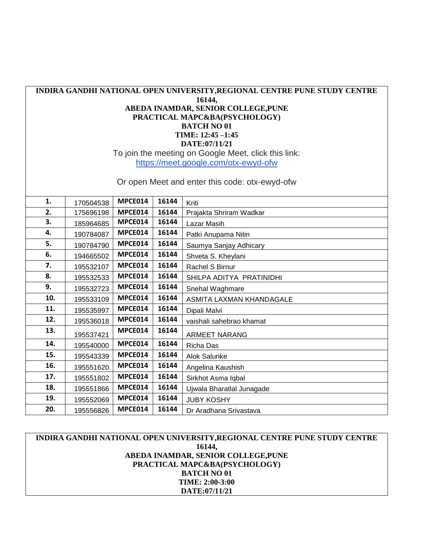## **INDIRA GANDHI NATIONAL OPEN UNIVERSITY,REGIONAL CENTRE PUNE STUDY CENTRE 16144, ABEDA INAMDAR, SENIOR COLLEGE,PUNE PRACTICAL MAPC&BA(PSYCHOLOGY) BATCH NO 01 TIME: 12:45 –1:45 DATE:07/11/21** To join the meeting on Google Meet, click this link: <https://meet.google.com/otx-ewyd-ofw> Or open Meet and enter this code: otx-ewyd-ofw

**1.** | 170504538 | MPCE014 | 16144 | Kriti **2.** 175696198 **MPCE014 16144** Prajakta Shriram Wadkar **3.** 185964685 **MPCE014 16144** Lazar Masih **4.** 190784087 **MPCE014 16144** Patki Anupama Nitin **5.** | 190784790 **MPCE014** | **16144** | Saumya Sanjay Adhicary **6.** | 194665502 | **MPCE014** | **16144** | Shveta S. Kheylani **7.** | 195532107 | MPCE014 | 16144 | Rachel S Birnur **8.** | 195532533 | MPCE014 | 16144 | SHILPA ADITYA PRATINIDHI **9.** | 195532723 | MPCE014 | 16144 | Snehal Waghmare **10.** | 195533109 | MPCE014 | 16144 | ASMITA LAXMAN KHANDAGALE **11.** | 195535997 | MPCE014 | 16144 | Dipali Malvi **12.** 195536018 **MPCE014 16144** vaishali sahebrao khamat **13.** | 195537421 | MPCE014 | 16144 | ARMEET NARANG **14.** | 195540000 | **MPCE014** | **16144** | Richa Das **15.** | 195543339 | MPCE014 | 16144 | Alok Salunke **16.** | 195551620 | MPCE014 | 16144 | Angelina Kaushish **17.** | 195551802 **MPCE014** | **16144** | Sirkhot Asma Iqbal **18.** 195551866 **MPCE014 16144** Ujwala Bharatlal Junagade **19.** 195552069 **MPCE014 16144** JUBY KOSHY **20.** | 195556826 | MPCE014 | 16144 | Dr Aradhana Srivastava

## **INDIRA GANDHI NATIONAL OPEN UNIVERSITY,REGIONAL CENTRE PUNE STUDY CENTRE 16144, ABEDA INAMDAR, SENIOR COLLEGE,PUNE PRACTICAL MAPC&BA(PSYCHOLOGY) BATCH NO 01 TIME: 2:00-3:00 DATE:07/11/21**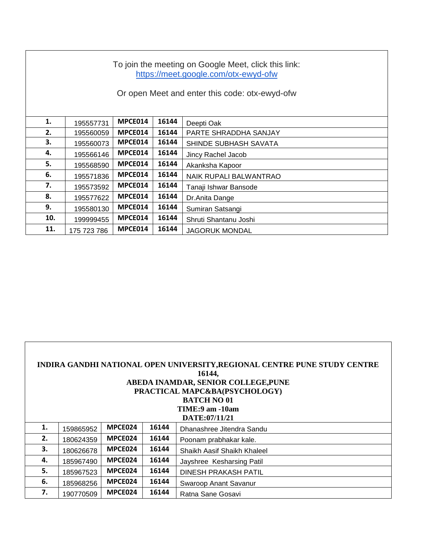| To join the meeting on Google Meet, click this link:<br>https://meet.google.com/otx-ewyd-ofw<br>Or open Meet and enter this code: otx-ewyd-ofw |             |         |       |                        |  |  |
|------------------------------------------------------------------------------------------------------------------------------------------------|-------------|---------|-------|------------------------|--|--|
| 1.                                                                                                                                             | 195557731   | MPCE014 | 16144 | Deepti Oak             |  |  |
| 2.                                                                                                                                             | 195560059   | MPCE014 | 16144 | PARTE SHRADDHA SANJAY  |  |  |
| 3.                                                                                                                                             | 195560073   | MPCE014 | 16144 | SHINDE SUBHASH SAVATA  |  |  |
| 4.                                                                                                                                             | 195566146   | MPCE014 | 16144 | Jincy Rachel Jacob     |  |  |
| 5.                                                                                                                                             | 195568590   | MPCE014 | 16144 | Akanksha Kapoor        |  |  |
| 6.                                                                                                                                             | 195571836   | MPCE014 | 16144 | NAIK RUPALI BALWANTRAO |  |  |
| 7.                                                                                                                                             | 195573592   | MPCE014 | 16144 | Tanaji Ishwar Bansode  |  |  |
| 8.                                                                                                                                             | 195577622   | MPCE014 | 16144 | Dr.Anita Dange         |  |  |
| 9.                                                                                                                                             | 195580130   | MPCE014 | 16144 | Sumiran Satsangi       |  |  |
| 10.                                                                                                                                            | 199999455   | MPCE014 | 16144 | Shruti Shantanu Joshi  |  |  |
| 11.                                                                                                                                            | 175 723 786 | MPCE014 | 16144 | <b>JAGORUK MONDAL</b>  |  |  |

| INDIRA GANDHI NATIONAL OPEN UNIVERSITY, REGIONAL CENTRE PUNE STUDY CENTRE<br>16144,<br>ABEDA INAMDAR, SENIOR COLLEGE, PUNE<br>PRACTICAL MAPC&BA(PSYCHOLOGY)<br><b>BATCH NO 01</b><br>TIME:9 am -10am<br>DATE:07/11/21 |           |         |       |                             |  |
|-----------------------------------------------------------------------------------------------------------------------------------------------------------------------------------------------------------------------|-----------|---------|-------|-----------------------------|--|
| 1.                                                                                                                                                                                                                    | 159865952 | MPCE024 | 16144 | Dhanashree Jitendra Sandu   |  |
| 2.                                                                                                                                                                                                                    | 180624359 | MPCE024 | 16144 | Poonam prabhakar kale.      |  |
| 3.                                                                                                                                                                                                                    | 180626678 | MPCE024 | 16144 | Shaikh Aasif Shaikh Khaleel |  |
| 4.                                                                                                                                                                                                                    | 185967490 | MPCE024 | 16144 | Jayshree Kesharsing Patil   |  |
| 5.                                                                                                                                                                                                                    | 185967523 | MPCE024 | 16144 | <b>DINESH PRAKASH PATIL</b> |  |
| 6.                                                                                                                                                                                                                    | 185968256 | MPCE024 | 16144 | Swaroop Anant Savanur       |  |
| 7.                                                                                                                                                                                                                    | 190770509 | MPCE024 | 16144 | Ratna Sane Gosavi           |  |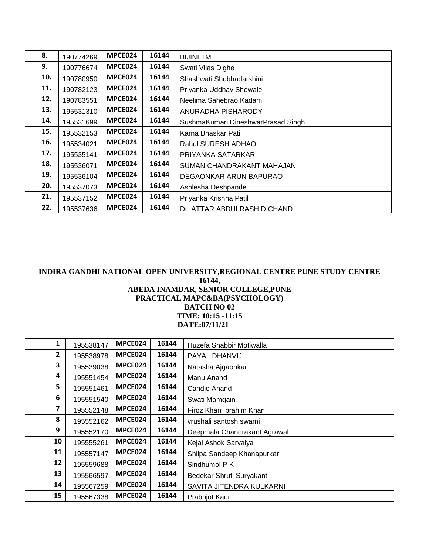| 8.  | 190774269 | MPCE024 | 16144 | <b>BIJINI TM</b>                   |
|-----|-----------|---------|-------|------------------------------------|
| 9.  | 190776674 | MPCE024 | 16144 | Swati Vilas Dighe                  |
| 10. | 190780950 | MPCE024 | 16144 | Shashwati Shubhadarshini           |
| 11. | 190782123 | MPCE024 | 16144 | Priyanka Uddhav Shewale            |
| 12. | 190783551 | MPCE024 | 16144 | Neelima Sahebrao Kadam             |
| 13. | 195531310 | MPCE024 | 16144 | ANURADHA PISHARODY                 |
| 14. | 195531699 | MPCE024 | 16144 | SushmaKumari DineshwarPrasad Singh |
| 15. | 195532153 | MPCE024 | 16144 | Karna Bhaskar Patil                |
| 16. | 195534021 | MPCE024 | 16144 | Rahul SURESH ADHAO                 |
| 17. | 195535141 | MPCE024 | 16144 | PRIYANKA SATARKAR                  |
| 18. | 195536071 | MPCE024 | 16144 | SUMAN CHANDRAKANT MAHAJAN          |
| 19. | 195536104 | MPCE024 | 16144 | DEGAONKAR ARUN BAPURAO             |
| 20. | 195537073 | MPCE024 | 16144 | Ashlesha Deshpande                 |
| 21. | 195537152 | MPCE024 | 16144 | Priyanka Krishna Patil             |
| 22. | 195537636 | MPCE024 | 16144 | Dr. ATTAR ABDULRASHID CHAND        |

| INDIRA GANDHI NATIONAL OPEN UNIVERSITY, REGIONAL CENTRE PUNE STUDY CENTRE |           |         |       |                               |  |  |
|---------------------------------------------------------------------------|-----------|---------|-------|-------------------------------|--|--|
| 16144,                                                                    |           |         |       |                               |  |  |
| ABEDA INAMDAR, SENIOR COLLEGE, PUNE                                       |           |         |       |                               |  |  |
| PRACTICAL MAPC&BA(PSYCHOLOGY)                                             |           |         |       |                               |  |  |
| <b>BATCH NO 02</b><br>TIME: 10:15 -11:15                                  |           |         |       |                               |  |  |
| DATE:07/11/21                                                             |           |         |       |                               |  |  |
|                                                                           |           |         |       |                               |  |  |
| $\mathbf{1}$                                                              | 195538147 | MPCE024 | 16144 | Huzefa Shabbir Motiwalla      |  |  |
| $\mathbf{2}$                                                              | 195538978 | MPCE024 | 16144 | PAYAL DHANVIJ                 |  |  |
| 3                                                                         | 195539038 | MPCE024 | 16144 | Natasha Ajgaonkar             |  |  |
| 4                                                                         | 195551454 | MPCE024 | 16144 | Manu Anand                    |  |  |
| 5                                                                         | 195551461 | MPCE024 | 16144 | Candie Anand                  |  |  |
| 6                                                                         | 195551540 | MPCE024 | 16144 | Swati Mamgain                 |  |  |
| 7                                                                         | 195552148 | MPCE024 | 16144 | Firoz Khan Ibrahim Khan       |  |  |
| 8                                                                         | 195552162 | MPCE024 | 16144 | vrushali santosh swami        |  |  |
| 9                                                                         | 195552170 | MPCE024 | 16144 | Deepmala Chandrakant Agrawal. |  |  |
| 10                                                                        | 195555261 | MPCE024 | 16144 | Kejal Ashok Sarvaiya          |  |  |
| 11                                                                        | 195557147 | MPCE024 | 16144 | Shilpa Sandeep Khanapurkar    |  |  |
| 12                                                                        | 195559688 | MPCE024 | 16144 | Sindhumol P K                 |  |  |
| 13                                                                        | 195566597 | MPCE024 | 16144 | Bedekar Shruti Suryakant      |  |  |
| 14                                                                        | 195567259 | MPCE024 | 16144 | SAVITA JITENDRA KULKARNI      |  |  |
| 15                                                                        | 195567338 | MPCE024 | 16144 | Prabhjot Kaur                 |  |  |
|                                                                           |           |         |       |                               |  |  |